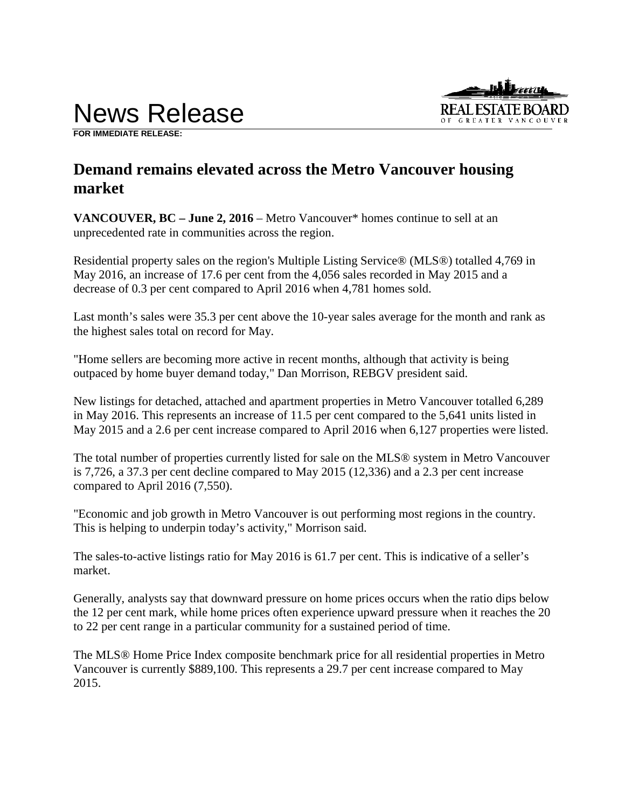# News Release



**FOR IMMEDIATE RELEASE:** 

# **Demand remains elevated across the Metro Vancouver housing market**

**VANCOUVER, BC – June 2, 2016** – Metro Vancouver\* homes continue to sell at an unprecedented rate in communities across the region.

Residential property sales on the region's Multiple Listing Service® (MLS®) totalled 4,769 in May 2016, an increase of 17.6 per cent from the 4,056 sales recorded in May 2015 and a decrease of 0.3 per cent compared to April 2016 when 4,781 homes sold.

Last month's sales were 35.3 per cent above the 10-year sales average for the month and rank as the highest sales total on record for May.

"Home sellers are becoming more active in recent months, although that activity is being outpaced by home buyer demand today," Dan Morrison, REBGV president said.

New listings for detached, attached and apartment properties in Metro Vancouver totalled 6,289 in May 2016. This represents an increase of 11.5 per cent compared to the 5,641 units listed in May 2015 and a 2.6 per cent increase compared to April 2016 when 6,127 properties were listed.

The total number of properties currently listed for sale on the MLS® system in Metro Vancouver is 7,726, a 37.3 per cent decline compared to May 2015 (12,336) and a 2.3 per cent increase compared to April 2016 (7,550).

"Economic and job growth in Metro Vancouver is out performing most regions in the country. This is helping to underpin today's activity," Morrison said.

The sales-to-active listings ratio for May 2016 is 61.7 per cent. This is indicative of a seller's market.

Generally, analysts say that downward pressure on home prices occurs when the ratio dips below the 12 per cent mark, while home prices often experience upward pressure when it reaches the 20 to 22 per cent range in a particular community for a sustained period of time.

The MLS® Home Price Index composite benchmark price for all residential properties in Metro Vancouver is currently \$889,100. This represents a 29.7 per cent increase compared to May 2015.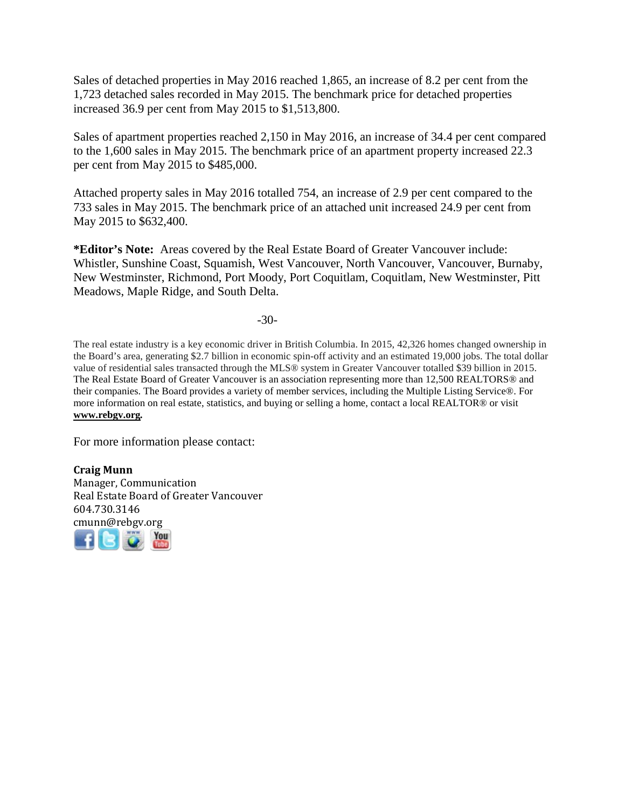Sales of detached properties in May 2016 reached 1,865, an increase of 8.2 per cent from the 1,723 detached sales recorded in May 2015. The benchmark price for detached properties increased 36.9 per cent from May 2015 to \$1,513,800.

Sales of apartment properties reached 2,150 in May 2016, an increase of 34.4 per cent compared to the 1,600 sales in May 2015. The benchmark price of an apartment property increased 22.3 per cent from May 2015 to \$485,000.

Attached property sales in May 2016 totalled 754, an increase of 2.9 per cent compared to the 733 sales in May 2015. The benchmark price of an attached unit increased 24.9 per cent from May 2015 to \$632,400.

**\*Editor's Note:** Areas covered by the Real Estate Board of Greater Vancouver include: Whistler, Sunshine Coast, Squamish, West Vancouver, North Vancouver, Vancouver, Burnaby, New Westminster, Richmond, Port Moody, Port Coquitlam, Coquitlam, New Westminster, Pitt Meadows, Maple Ridge, and South Delta.

-30-

The real estate industry is a key economic driver in British Columbia. In 2015, 42,326 homes changed ownership in the Board's area, generating \$2.7 billion in economic spin-off activity and an estimated 19,000 jobs. The total dollar value of residential sales transacted through the MLS® system in Greater Vancouver totalled \$39 billion in 2015. The Real Estate Board of Greater Vancouver is an association representing more than 12,500 REALTORS® and their companies. The Board provides a variety of member services, including the Multiple Listing Service®. For more information on real estate, statistics, and buying or selling a home, contact a local REALTOR® or visit **[www.rebgv.org](http://www.rebgv.org/)***.* 

For more information please contact:

**Craig Munn** Manager, Communication Real Estate Board of Greater Vancouver 604.730.3146 [cmu](http://www.facebook.com/rebgv)[nn@r](http://www.twitter.com/rebgv)[ebgv.](http://www.rebgv.org/)[org](http://www.youtube.com/user/rebgv)

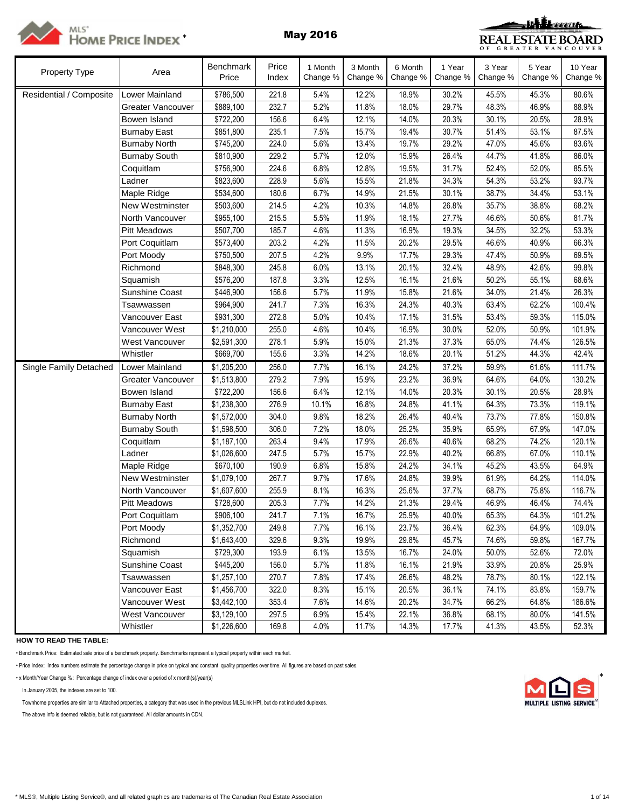

# MLS'<br>HOME PRICE INDEX<sup>\*</sup> May 2016



| Property Type           | Area                  | Benchmark<br>Price | Price<br>Index | 1 Month<br>Change % | 3 Month<br>Change % | 6 Month<br>Change % | 1 Year<br>Change % | 3 Year<br>Change % | 5 Year<br>Change % | 10 Year<br>Change % |
|-------------------------|-----------------------|--------------------|----------------|---------------------|---------------------|---------------------|--------------------|--------------------|--------------------|---------------------|
| Residential / Composite | Lower Mainland        | \$786,500          | 221.8          | 5.4%                | 12.2%               | 18.9%               | 30.2%              | 45.5%              | 45.3%              | 80.6%               |
|                         | Greater Vancouver     | \$889,100          | 232.7          | 5.2%                | 11.8%               | 18.0%               | 29.7%              | 48.3%              | 46.9%              | 88.9%               |
|                         | Bowen Island          | \$722,200          | 156.6          | 6.4%                | 12.1%               | 14.0%               | 20.3%              | 30.1%              | 20.5%              | 28.9%               |
|                         | <b>Burnaby East</b>   | \$851,800          | 235.1          | 7.5%                | 15.7%               | 19.4%               | 30.7%              | 51.4%              | 53.1%              | 87.5%               |
|                         | <b>Burnaby North</b>  | \$745,200          | 224.0          | 5.6%                | 13.4%               | 19.7%               | 29.2%              | 47.0%              | 45.6%              | 83.6%               |
|                         | <b>Burnaby South</b>  | \$810,900          | 229.2          | 5.7%                | 12.0%               | 15.9%               | 26.4%              | 44.7%              | 41.8%              | 86.0%               |
|                         | Coquitlam             | \$756,900          | 224.6          | 6.8%                | 12.8%               | 19.5%               | 31.7%              | 52.4%              | 52.0%              | 85.5%               |
|                         | adner                 | \$823,600          | 228.9          | 5.6%                | 15.5%               | 21.8%               | 34.3%              | 54.3%              | 53.2%              | 93.7%               |
|                         | Maple Ridge           | \$534,600          | 180.6          | 6.7%                | 14.9%               | 21.5%               | 30.1%              | 38.7%              | 34.4%              | 53.1%               |
|                         | New Westminster       | \$503,600          | 214.5          | 4.2%                | 10.3%               | 14.8%               | 26.8%              | 35.7%              | 38.8%              | 68.2%               |
|                         | North Vancouver       | \$955,100          | 215.5          | 5.5%                | 11.9%               | 18.1%               | 27.7%              | 46.6%              | 50.6%              | 81.7%               |
|                         | <b>Pitt Meadows</b>   | \$507,700          | 185.7          | 4.6%                | 11.3%               | 16.9%               | 19.3%              | 34.5%              | 32.2%              | 53.3%               |
|                         | Port Coquitlam        | \$573,400          | 203.2          | 4.2%                | 11.5%               | 20.2%               | 29.5%              | 46.6%              | 40.9%              | 66.3%               |
|                         | Port Moody            | \$750,500          | 207.5          | 4.2%                | 9.9%                | 17.7%               | 29.3%              | 47.4%              | 50.9%              | 69.5%               |
|                         | Richmond              | \$848,300          | 245.8          | 6.0%                | 13.1%               | 20.1%               | 32.4%              | 48.9%              | 42.6%              | 99.8%               |
|                         | Squamish              | \$576,200          | 187.8          | 3.3%                | 12.5%               | 16.1%               | 21.6%              | 50.2%              | 55.1%              | 68.6%               |
|                         | <b>Sunshine Coast</b> | \$446,900          | 156.6          | 5.7%                | 11.9%               | 15.8%               | 21.6%              | 34.0%              | 21.4%              | 26.3%               |
|                         | Tsawwassen            | \$964,900          | 241.7          | 7.3%                | 16.3%               | 24.3%               | 40.3%              | 63.4%              | 62.2%              | 100.4%              |
|                         | Vancouver East        | \$931,300          | 272.8          | 5.0%                | 10.4%               | 17.1%               | 31.5%              | 53.4%              | 59.3%              | 115.0%              |
|                         | Vancouver West        | \$1,210,000        | 255.0          | 4.6%                | 10.4%               | 16.9%               | 30.0%              | 52.0%              | 50.9%              | 101.9%              |
|                         | <b>West Vancouver</b> | \$2,591,300        | 278.1          | 5.9%                | 15.0%               | 21.3%               | 37.3%              | 65.0%              | 74.4%              | 126.5%              |
|                         | Whistler              | \$669,700          | 155.6          | 3.3%                | 14.2%               | 18.6%               | 20.1%              | 51.2%              | 44.3%              | 42.4%               |
| Single Family Detached  | Lower Mainland        | \$1,205,200        | 256.0          | 7.7%                | 16.1%               | 24.2%               | 37.2%              | 59.9%              | 61.6%              | 111.7%              |
|                         | Greater Vancouver     | \$1,513,800        | 279.2          | 7.9%                | 15.9%               | 23.2%               | 36.9%              | 64.6%              | 64.0%              | 130.2%              |
|                         | Bowen Island          | \$722,200          | 156.6          | 6.4%                | 12.1%               | 14.0%               | 20.3%              | 30.1%              | 20.5%              | 28.9%               |
|                         | <b>Burnaby East</b>   | \$1,238,300        | 276.9          | 10.1%               | 16.8%               | 24.8%               | 41.1%              | 64.3%              | 73.3%              | 119.1%              |
|                         | <b>Burnaby North</b>  | \$1,572,000        | 304.0          | 9.8%                | 18.2%               | 26.4%               | 40.4%              | 73.7%              | 77.8%              | 150.8%              |
|                         | <b>Burnaby South</b>  | \$1,598,500        | 306.0          | 7.2%                | 18.0%               | 25.2%               | 35.9%              | 65.9%              | 67.9%              | 147.0%              |
|                         | Coquitlam             | \$1,187,100        | 263.4          | 9.4%                | 17.9%               | 26.6%               | 40.6%              | 68.2%              | 74.2%              | 120.1%              |
|                         | Ladner                | \$1,026,600        | 247.5          | 5.7%                | 15.7%               | 22.9%               | 40.2%              | 66.8%              | 67.0%              | 110.1%              |
|                         | Maple Ridge           | \$670,100          | 190.9          | 6.8%                | 15.8%               | 24.2%               | 34.1%              | 45.2%              | 43.5%              | 64.9%               |
|                         | New Westminster       | \$1,079,100        | 267.7          | 9.7%                | 17.6%               | 24.8%               | 39.9%              | 61.9%              | 64.2%              | 114.0%              |
|                         | North Vancouver       | \$1,607,600        | 255.9          | 8.1%                | 16.3%               | 25.6%               | 37.7%              | 68.7%              | 75.8%              | 116.7%              |
|                         | <b>Pitt Meadows</b>   | \$728,600          | 205.3          | 7.7%                | 14.2%               | 21.3%               | 29.4%              | 46.9%              | 46.4%              | 74.4%               |
|                         | Port Coquitlam        | \$906,100          | 241.7          | 7.1%                | 16.7%               | 25.9%               | 40.0%              | 65.3%              | 64.3%              | 101.2%              |
|                         | Port Moody            | \$1,352,700        | 249.8          | 7.7%                | 16.1%               | 23.7%               | 36.4%              | 62.3%              | 64.9%              | 109.0%              |
|                         | Richmond              | \$1,643,400        | 329.6          | 9.3%                | 19.9%               | 29.8%               | 45.7%              | 74.6%              | 59.8%              | 167.7%              |
|                         | Squamish              | \$729,300          | 193.9          | 6.1%                | 13.5%               | 16.7%               | 24.0%              | 50.0%              | 52.6%              | 72.0%               |
|                         | Sunshine Coast        | \$445,200          | 156.0          | 5.7%                | 11.8%               | 16.1%               | 21.9%              | 33.9%              | 20.8%              | 25.9%               |
|                         | Tsawwassen            | \$1,257,100        | 270.7          | 7.8%                | 17.4%               | 26.6%               | 48.2%              | 78.7%              | 80.1%              | 122.1%              |
|                         | Vancouver East        | \$1,456,700        | 322.0          | 8.3%                | 15.1%               | 20.5%               | 36.1%              | 74.1%              | 83.8%              | 159.7%              |
|                         | Vancouver West        | \$3,442,100        | 353.4          | 7.6%                | 14.6%               | 20.2%               | 34.7%              | 66.2%              | 64.8%              | 186.6%              |
|                         | West Vancouver        | \$3,129,100        | 297.5          | 6.9%                | 15.4%               | 22.1%               | 36.8%              | 68.1%              | 80.0%              | 141.5%              |
|                         | Whistler              | \$1,226,600        | 169.8          | 4.0%                | 11.7%               | 14.3%               | 17.7%              | 41.3%              | 43.5%              | 52.3%               |

**HOW TO READ THE TABLE:**

• Benchmark Price: Estimated sale price of a benchmark property. Benchmarks represent a typical property within each market.

• Price Index: Index numbers estimate the percentage change in price on typical and constant quality properties over time. All figures are based on past sales.

• x Month/Year Change %: Percentage change of index over a period of x month(s)/year(s) \*

In January 2005, the indexes are set to 100.

Townhome properties are similar to Attached properties, a category that was used in the previous MLSLink HPI, but do not included duplexes.

The above info is deemed reliable, but is not guaranteed. All dollar amounts in CDN.

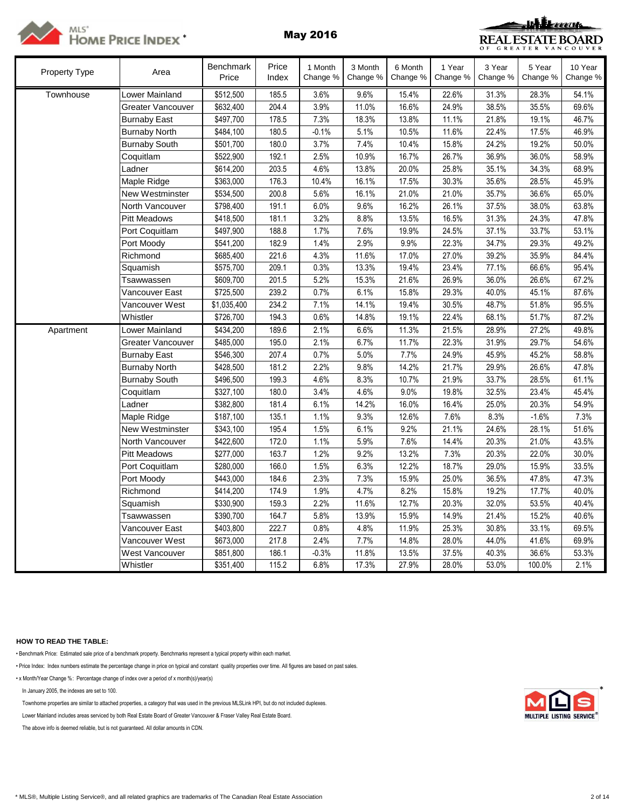



| <b>Property Type</b> | Area                 | <b>Benchmark</b><br>Price | Price<br>Index | 1 Month<br>Change % | 3 Month<br>Change % | 6 Month<br>Change % | 1 Year<br>Change % | 3 Year<br>Change % | 5 Year<br>Change % | 10 Year<br>Change % |
|----------------------|----------------------|---------------------------|----------------|---------------------|---------------------|---------------------|--------------------|--------------------|--------------------|---------------------|
| Townhouse            | Lower Mainland       | \$512,500                 | 185.5          | 3.6%                | 9.6%                | 15.4%               | 22.6%              | 31.3%              | 28.3%              | 54.1%               |
|                      | Greater Vancouver    | \$632,400                 | 204.4          | 3.9%                | 11.0%               | 16.6%               | 24.9%              | 38.5%              | 35.5%              | 69.6%               |
|                      | <b>Burnaby East</b>  | \$497,700                 | 178.5          | 7.3%                | 18.3%               | 13.8%               | 11.1%              | 21.8%              | 19.1%              | 46.7%               |
|                      | <b>Burnaby North</b> | \$484,100                 | 180.5          | $-0.1%$             | 5.1%                | 10.5%               | 11.6%              | 22.4%              | 17.5%              | 46.9%               |
|                      | <b>Burnaby South</b> | \$501,700                 | 180.0          | 3.7%                | 7.4%                | 10.4%               | 15.8%              | 24.2%              | 19.2%              | 50.0%               |
|                      | Coquitlam            | \$522,900                 | 192.1          | 2.5%                | 10.9%               | 16.7%               | 26.7%              | 36.9%              | 36.0%              | 58.9%               |
|                      | Ladner               | \$614,200                 | 203.5          | 4.6%                | 13.8%               | 20.0%               | 25.8%              | 35.1%              | 34.3%              | 68.9%               |
|                      | Maple Ridge          | \$363,000                 | 176.3          | 10.4%               | 16.1%               | 17.5%               | 30.3%              | 35.6%              | 28.5%              | 45.9%               |
|                      | New Westminster      | \$534,500                 | 200.8          | 5.6%                | 16.1%               | 21.0%               | 21.0%              | 35.7%              | 36.6%              | 65.0%               |
|                      | North Vancouver      | \$798,400                 | 191.1          | 6.0%                | 9.6%                | 16.2%               | 26.1%              | 37.5%              | 38.0%              | 63.8%               |
|                      | Pitt Meadows         | \$418,500                 | 181.1          | 3.2%                | 8.8%                | 13.5%               | 16.5%              | 31.3%              | 24.3%              | 47.8%               |
|                      | Port Coquitlam       | \$497,900                 | 188.8          | 1.7%                | 7.6%                | 19.9%               | 24.5%              | 37.1%              | 33.7%              | 53.1%               |
|                      | Port Moody           | \$541,200                 | 182.9          | 1.4%                | 2.9%                | 9.9%                | 22.3%              | 34.7%              | 29.3%              | 49.2%               |
|                      | Richmond             | \$685,400                 | 221.6          | 4.3%                | 11.6%               | 17.0%               | 27.0%              | 39.2%              | 35.9%              | 84.4%               |
|                      | Squamish             | \$575,700                 | 209.1          | 0.3%                | 13.3%               | 19.4%               | 23.4%              | 77.1%              | 66.6%              | 95.4%               |
|                      | Tsawwassen           | \$609,700                 | 201.5          | 5.2%                | 15.3%               | 21.6%               | 26.9%              | 36.0%              | 26.6%              | 67.2%               |
|                      | Vancouver East       | \$725,500                 | 239.2          | 0.7%                | 6.1%                | 15.8%               | 29.3%              | 40.0%              | 45.1%              | 87.6%               |
|                      | Vancouver West       | \$1,035,400               | 234.2          | 7.1%                | 14.1%               | 19.4%               | 30.5%              | 48.7%              | 51.8%              | 95.5%               |
|                      | Whistler             | \$726,700                 | 194.3          | 0.6%                | 14.8%               | 19.1%               | 22.4%              | 68.1%              | 51.7%              | 87.2%               |
| Apartment            | Lower Mainland       | \$434,200                 | 189.6          | 2.1%                | 6.6%                | 11.3%               | 21.5%              | 28.9%              | 27.2%              | 49.8%               |
|                      | Greater Vancouver    | \$485,000                 | 195.0          | 2.1%                | 6.7%                | 11.7%               | 22.3%              | 31.9%              | 29.7%              | 54.6%               |
|                      | <b>Burnaby East</b>  | \$546,300                 | 207.4          | 0.7%                | 5.0%                | 7.7%                | 24.9%              | 45.9%              | 45.2%              | 58.8%               |
|                      | <b>Burnaby North</b> | \$428,500                 | 181.2          | 2.2%                | 9.8%                | 14.2%               | 21.7%              | 29.9%              | 26.6%              | 47.8%               |
|                      | <b>Burnaby South</b> | \$496,500                 | 199.3          | 4.6%                | 8.3%                | 10.7%               | 21.9%              | 33.7%              | 28.5%              | 61.1%               |
|                      | Coquitlam            | \$327,100                 | 180.0          | 3.4%                | 4.6%                | 9.0%                | 19.8%              | 32.5%              | 23.4%              | 45.4%               |
|                      | Ladner               | \$382,800                 | 181.4          | 6.1%                | 14.2%               | 16.0%               | 16.4%              | 25.0%              | 20.3%              | 54.9%               |
|                      | Maple Ridge          | \$187,100                 | 135.1          | 1.1%                | 9.3%                | 12.6%               | 7.6%               | 8.3%               | $-1.6%$            | 7.3%                |
|                      | New Westminster      | \$343,100                 | 195.4          | 1.5%                | 6.1%                | 9.2%                | 21.1%              | 24.6%              | 28.1%              | 51.6%               |
|                      | North Vancouver      | \$422,600                 | 172.0          | 1.1%                | 5.9%                | 7.6%                | 14.4%              | 20.3%              | 21.0%              | 43.5%               |
|                      | <b>Pitt Meadows</b>  | \$277,000                 | 163.7          | 1.2%                | 9.2%                | 13.2%               | 7.3%               | 20.3%              | 22.0%              | 30.0%               |
|                      | Port Coquitlam       | \$280,000                 | 166.0          | 1.5%                | 6.3%                | 12.2%               | 18.7%              | 29.0%              | 15.9%              | 33.5%               |
|                      | Port Moody           | \$443,000                 | 184.6          | 2.3%                | 7.3%                | 15.9%               | 25.0%              | 36.5%              | 47.8%              | 47.3%               |
|                      | Richmond             | \$414,200                 | 174.9          | 1.9%                | 4.7%                | 8.2%                | 15.8%              | 19.2%              | 17.7%              | 40.0%               |
|                      | Squamish             | \$330,900                 | 159.3          | 2.2%                | 11.6%               | 12.7%               | 20.3%              | 32.0%              | 53.5%              | 40.4%               |
|                      | Tsawwassen           | \$390,700                 | 164.7          | 5.8%                | 13.9%               | 15.9%               | 14.9%              | 21.4%              | 15.2%              | 40.6%               |
|                      | Vancouver East       | \$403,800                 | 222.7          | 0.8%                | 4.8%                | 11.9%               | 25.3%              | 30.8%              | 33.1%              | 69.5%               |
|                      | Vancouver West       | \$673,000                 | 217.8          | 2.4%                | 7.7%                | 14.8%               | 28.0%              | 44.0%              | 41.6%              | 69.9%               |
|                      | West Vancouver       | \$851,800                 | 186.1          | $-0.3%$             | 11.8%               | 13.5%               | 37.5%              | 40.3%              | 36.6%              | 53.3%               |
|                      | Whistler             | \$351,400                 | 115.2          | 6.8%                | 17.3%               | 27.9%               | 28.0%              | 53.0%              | 100.0%             | 2.1%                |

## **HOW TO READ THE TABLE:**

• Benchmark Price: Estimated sale price of a benchmark property. Benchmarks represent a typical property within each market.

• Price Index: Index numbers estimate the percentage change in price on typical and constant quality properties over time. All figures are based on past sales.

• x Month/Year Change %: Percentage change of index over a period of x month(s)/year(s)

In January 2005, the indexes are set to 100.

Townhome properties are similar to attached properties, a category that was used in the previous MLSLink HPI, but do not included duplexes.

Lower Mainland includes areas serviced by both Real Estate Board of Greater Vancouver & Fraser Valley Real Estate Board.

The above info is deemed reliable, but is not guaranteed. All dollar amounts in CDN.

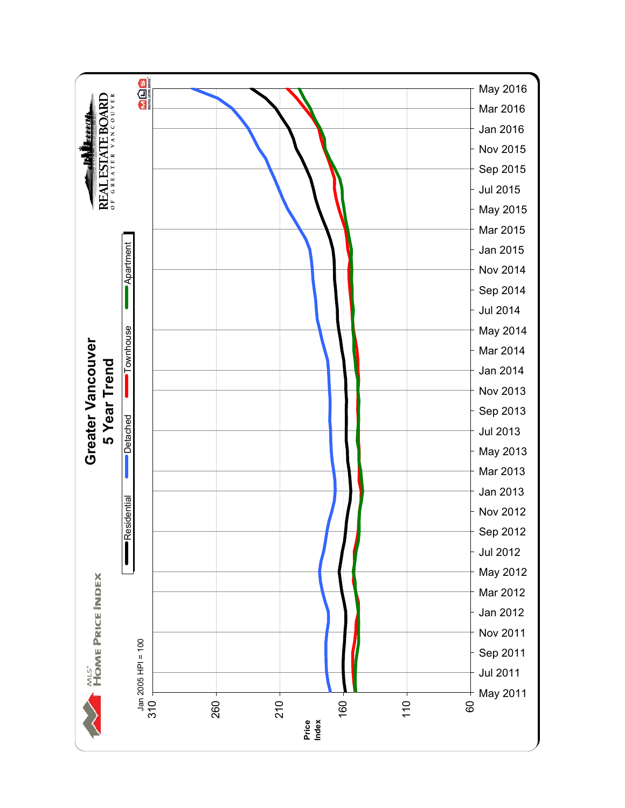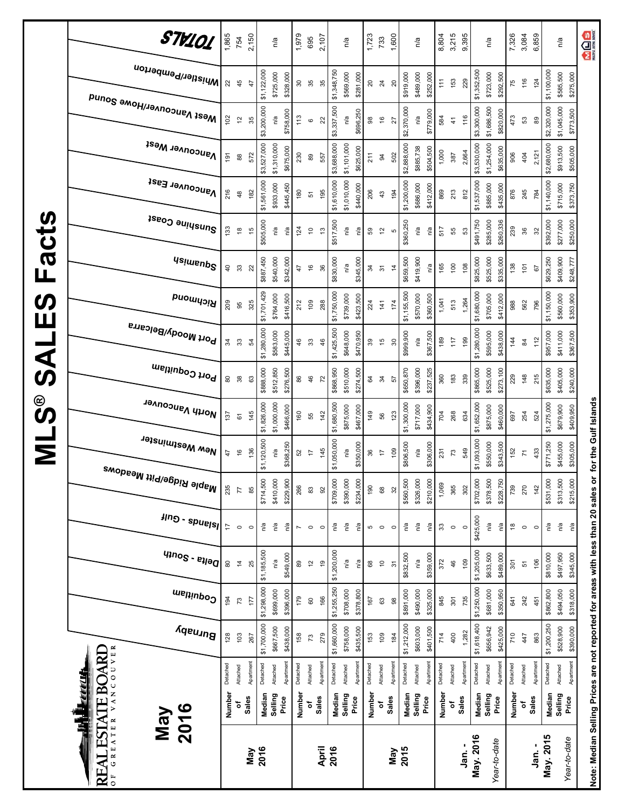|                            | STV101                                                               | 1,865          | 754                            | 2,150     |             | n/a         |           | 1,979          | 695              | 2,107          |             | n/a         |           | 1,723    | 733             | 1,600          |             | n/a       |           | 8,804    | 3,215         | 9,395    |             | n/a              |           | 7,326         | 3,084            | 6,859     |             | n/a                      | <b>MOS</b>                                                                        |
|----------------------------|----------------------------------------------------------------------|----------------|--------------------------------|-----------|-------------|-------------|-----------|----------------|------------------|----------------|-------------|-------------|-----------|----------|-----------------|----------------|-------------|-----------|-----------|----------|---------------|----------|-------------|------------------|-----------|---------------|------------------|-----------|-------------|--------------------------|-----------------------------------------------------------------------------------|
|                            | iWhistler/Pemberton                                                  | 22             | 45                             | 47        | \$1,122,000 | \$725,000   | \$328,000 | 80             | 35               | 35             | \$1,348,750 | \$569,000   | \$281,000 | 20       | $\overline{24}$ | $\overline{c}$ | \$919,000   | \$489,000 | \$252,000 | 111      | 153           | 229      | \$1,352,500 | \$723,000        | \$292,500 | 75            | 116              | 124       | \$1,100,000 | \$585,500<br>\$275,000   |                                                                                   |
|                            | Mest Vancouver/Howe Sound                                            | 102            | $\tilde{c}$                    | 35        | \$3,200,000 | n/a         | \$758,000 | 113            | $\mathbf \Omega$ | 22             | \$3,337,500 | n/a         | \$696,250 | 88       | $\frac{6}{2}$   | 27             | \$2,370,000 | n/a       | \$779,000 | 584      | $\frac{4}{1}$ | 116      | \$3,300,000 | \$1,686,500      | \$820,000 | 473           | 53               | 89        | \$2,320,000 | \$1,045,000<br>\$773,500 |                                                                                   |
|                            | <b>Vancouver West</b>                                                | $\frac{5}{2}$  | $^{\circ}_{\infty}$            | 572       | \$3,527,000 | \$1,310,000 | \$675,000 | 230            | 89               | 557            | \$3,688,000 | \$1,101,000 | \$625,000 | 211      | $\overline{a}$  | 502            | \$2,888,000 | \$885,738 | \$504,500 | 1,000    | 387           | 2,664    | \$3,530,000 | \$1,254,000      | \$635,000 | 906           | 404              | 2,121     | \$2,680,000 | \$913,500<br>\$505,000   |                                                                                   |
|                            | Vancouver East                                                       | 216            | $\frac{8}{3}$                  | 182       | \$1,561,000 | \$933,000   | \$445,450 | 180            | 57               | 195            | \$1,610,000 | \$1,010,000 | \$440,000 | 206      | 43              | 194            | \$1,200,000 | \$686,000 | \$412,000 | 869      | 213           | 812      | \$1,537,000 | \$885,000        | \$435,000 | 876           | 245              | 784       | \$1,140,000 | \$715,000<br>\$373,750   |                                                                                   |
|                            | Sunshine Coast                                                       | 133            | $\overset{\circ}{\phantom{a}}$ | 45        | \$505,000   | ηá          | ηá        | 124            | $\tilde{c}$      | $\frac{3}{2}$  | \$517,500   | n/a         | n/a       | 89       | $\tilde{c}$     | Ю              | \$360,250   | ηa        | ηá        | 517      | 55            | S3       | \$491,750   | \$285,000        | \$260,336 | 239           | 36               | 32        | \$392,000   | \$277,000<br>\$250,000   |                                                                                   |
| Facts                      | <b>Usimenp<sup>S</sup></b>                                           | $\overline{a}$ | 33                             | 22        | \$887,450   | \$540,000   | \$342,000 | 47             | $\frac{6}{5}$    | 36             | \$830,000   | n/a         | \$345,000 | 34       | $\overline{5}$  | $\frac{4}{3}$  | \$659,500   | \$419,900 | n/a       | 165      | 100           | 108      | \$825,000   | \$525,000        | \$335,000 | 138           | $\overline{101}$ | 5         | \$629,250   | \$409,900<br>\$248,777   |                                                                                   |
| $\boldsymbol{\omega}$<br>Ш | Richmond                                                             | 209            | 95                             | 325       | \$1,701,429 | \$764,000   | \$416,500 | 212            | 109              | 288            | \$1,750,000 | \$739,000   | \$423,500 | 224      | 141             | 174            | \$1,155,500 | \$570,000 | \$360,500 | 1,041    | 513           | 1,264    | \$1,680,000 | \$705,000        | \$412,000 | 988           | 562              | 796       | \$1,150,000 | \$560,000<br>\$353,900   |                                                                                   |
| <b>UAS</b>                 | Port Moody/Belcarra                                                  | 34             | 33                             | 54        | \$1,280,000 | \$583,000   | \$445,000 | 46             | $33\,$           | 46             | \$1,425,500 | \$648,000   | \$470,950 | 39       | 15              | 30             | \$999,900   | n/a       | \$367,500 | 189      | 117           | 199      | \$1,280,000 | \$595,000        | \$438,000 | 144           | $\frac{8}{4}$    | 112       | \$957,000   | \$411,000<br>\$367,500   |                                                                                   |
|                            | Port Coquitlam                                                       | $\rm ^{\rm 8}$ | $38$                           | 63        | \$888,000   | \$512,850   | \$276,500 | 86             | 46               | $\overline{z}$ | \$868,950   | \$510,000   | \$274,500 | 84       | 34              | 57             | \$650,870   | \$396,000 | \$237,525 | 360      | 183           | 339      | \$865,000   | \$525,000        | \$273,100 | 229           | 148              | 215       | \$635,000   | \$405,000<br>\$240,000   |                                                                                   |
| <u>ိ</u>                   | North Vancouver                                                      | 137            | $\overline{6}$                 | 145       | \$1,826,000 | \$1,000,000 | \$466,000 | 160            | 55               | 142            | \$1,680,500 | \$875,000   | \$467,000 | 149      | 56              | 123            | \$1,300,000 | \$717,000 | \$434,900 | 704      | 268           | 634      | \$1,652,000 | \$875,000        | \$460,000 | 697           | 254              | 524       | \$1,275,000 | \$679,900<br>\$409,950   |                                                                                   |
| $\overline{\mathbf{z}}$    | New Westminster                                                      | $\ddot{4}$     | $\frac{6}{5}$                  | 136       | \$1,120,500 | n/a         | \$368,250 | 52             | $\ddot{ }$       | 145            | \$1,050,000 | n/a         | \$350,000 | 36       | $\overline{z}$  | 109            | \$806,500   | n/a       | \$306,000 | 231      | $73$          | 549      | \$1,093,000 | \$550,000        | \$343,500 | 152           | $\overline{r}$   | 433       | \$771,250   | \$455,000<br>\$305,000   | for the Gulf Islands                                                              |
|                            | , <sup>Maple Ridge/Pitt Meadows</sup>                                | 235            | 77                             | 85        | \$714,500   | \$410,000   | \$229,900 | 266            | 83               | $\overline{9}$ | \$709,000   | \$390,000   | \$234,000 | 190      | 68              | 32             | \$560,500   | \$326,000 | \$210,000 | 1,069    | 365           | 302      | \$702,000   | \$378,500        | \$228,750 | 739           | 270              | 142       | \$531,000   | \$313,500<br>\$215,000   |                                                                                   |
|                            | $\frac{2}{3}$ - spuels                                               | <b>L</b>       | $\circ$                        | $\circ$   | P,d         | n/a         | ηá        | $\overline{ }$ | $\circ$          | $\circ$        | n/a         | n/a         | ηá        | ъ        | $\circ$         | $\circ$        | n/a         | n/a       | n/a       | 33       | $\circ$       | $\circ$  | \$425,000   | ηa               | n'a       | $\frac{8}{3}$ | $\circ$          | $\circ$   | n/a         | n/a<br>Ρå                |                                                                                   |
|                            | $q_{100}$ s - $e_{110}$ q                                            | 80             | $\frac{4}{3}$                  | 25        | \$1,185,500 | n/a         | \$549,000 | 89             | $\overline{c}$   | $\overline{9}$ | \$1,200,000 | n/a         | n/a       | 68       | $\tilde{c}$     | $\overline{3}$ | \$832,500   | n/a       | \$359,000 | 372      | 46            | 109      | \$1,205,000 | \$633,500        | \$489,000 | 301           | 51               | 106       | \$810,000   | \$497,950<br>\$345,000   |                                                                                   |
|                            | Coquitlam                                                            | 194            | 73                             | 177       | \$1,298,000 | \$699,000   | \$396,000 | 179            | 80               | 166            | \$1,255,250 | \$708,000   | \$378,800 | 167      | 63              | 8              | \$891,000   | \$490,000 | \$325,000 | 845      | 501           | 735      | \$1,250,000 | \$681,000        | \$350,950 | 641           | 242              | 451       | \$862,800   | \$494,050<br>\$318,000   |                                                                                   |
|                            | <b>Aqeuing</b>                                                       | 128            | 103                            | 267       | \$1,700,000 | \$667,500   | \$438,000 | 158            | $\mathfrak{c}$   | 279            | \$1,660,000 | \$758,000   | \$435,500 | 153      | 109             | 184            | \$1,212,000 | \$603,000 | \$401,500 | 714      | 400           | 1,282    | \$1,618,400 | \$656,942        | \$425,000 | 710           | 447              | 863       | \$1,200,250 | \$528,900<br>\$390,000   |                                                                                   |
|                            | VANCOUVER<br><b>ESTATE BOARL</b>                                     | Detached       | Attached                       | Apartment | Detached    | Attached    | Apartment | Detached       | Attached         | Apartmen       | Detached    | Attached    | Apartment | Detached | Attached        | Apartment      | Detached    | Attached  | Apartment | Detached | Attached      | Apartmen | Detached    | Attached         | Apartmen  | Detached      | Attached         | Apartment | Detached    | Apartment<br>Attached    |                                                                                   |
|                            | 2016<br>Ę<br><b>May</b>                                              | Number         | ۵ŕ                             | Sales     | Median      | Selling     | Price     | Number         | ٥ŕ               | Sales          | Median      | Selling     | Price     | Number   | ٥               | Sales          | Median      | Selling   | Price     | Number   | ō             | Sales    | Median      | Selling<br>Price |           | Number        | ٥ť               | Sales     | Median      | Selling<br>Price         |                                                                                   |
|                            | GREATER<br>$\mathbf{\overline{X}}$<br>$\mathbf{R}$<br>$\overline{0}$ |                |                                | May       | 2016        |             |           |                |                  | April          | 2016        |             |           |          |                 | Nay            | 2015        |           |           |          |               | Jan. -   | May. 2016   | Year-to-date     |           |               |                  | Jan. -    | May. 2015   | Year-to-date             | Note: Median Selling Prices are not reported for areas with less than 20 sales or |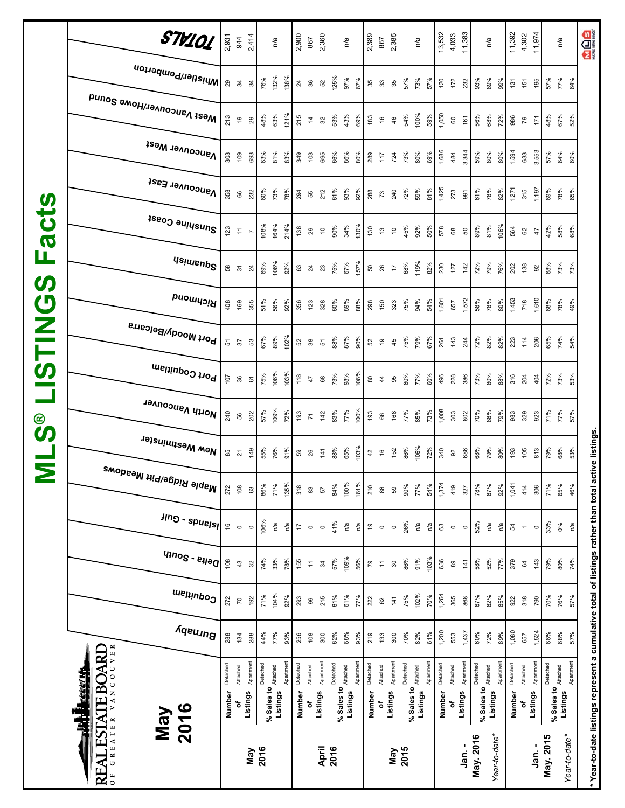| 106%<br>157%<br>119%<br>67%<br>69%<br>92%<br>68%<br>82%<br>72%<br>79%<br>68%<br>73%<br>73%<br>75%<br>230<br>$142$<br>76%<br>127<br>202<br>138<br>50<br>26<br><b>ន</b> ភ<br>$\overline{24}$<br><b>63 4 23</b><br>$\ddot{ }$<br>92<br><b>SV</b><br>Richmond<br>$\boldsymbol{\mathcal{O}}$<br>1,610<br>1,572<br>1,453<br>1,801<br>56%<br>89%<br>94%<br>58%<br>78%<br>718<br>68%<br>78%<br>51%<br>$92\%$<br>75%<br>49%<br>408<br>169<br>355<br>356<br>123<br>328<br>60%<br>88%<br>298<br>150<br>54%<br>80%<br>323<br>657<br><b>MILS</b><br><sup>, Port Moody/Belcarra</sup><br>102%<br>89%<br>87%<br>74%<br>79%<br>72%<br>82%<br>65%<br>54%<br>67%<br>88%<br>90%<br>75%<br>67%<br>82%<br>143<br>261<br>244<br>223<br>14<br>206<br>53<br>52 38<br>$\overline{6}$<br>45<br>5<br>37<br>52<br>51<br>Port Coquitiam<br>106%<br>103%<br>106%<br>98%<br>72%<br>73%<br>75%<br>118<br>77%<br>73%<br>80%<br>73%<br>80%<br>60%<br>496<br>228<br>386<br>316<br>53%<br>107<br>88%<br>204<br>404<br>36<br>47<br>$_{68}$<br>$\rm ^{\rm o}$<br>$\frac{4}{4}$<br>95<br>$\overline{6}$<br>I North Vancouver<br>1,008<br>109%<br>100%<br>77%<br>57%<br>72%<br>77%<br>85%<br>88%<br>71%<br>77%<br>240<br>202<br>193<br>142<br>83%<br>193<br>168<br>73%<br>303<br>802<br>70%<br>79%<br>57%<br>983<br>329<br>923<br>56<br>66<br>$\overline{r}$<br>$\circlede$<br><b>SV</b><br>New Westminster<br>106%<br>103%<br>76%<br>65%<br>72%<br>79%<br>68%<br>55%<br>91%<br>88%<br>86%<br>$340$<br>68%<br>80%<br>79%<br>53%<br>949<br>686<br>$\frac{6}{2}$<br>105<br>813<br>152<br>85<br>$\frac{14}{1}$<br>$\frac{6}{5}$<br>59<br>26<br>42<br>92<br>$\overline{2}$<br>Σ<br>, <sup>Maple Ridge/Pitt Meadows</sup><br>100%<br>135%<br>161%<br>1,374<br>1,041<br>71%<br>84%<br>87%<br>108<br>86%<br>318<br>210<br>90%<br>77%<br>54%<br>419<br>78%<br>92%<br>71%<br>65%<br>46%<br>272<br>414<br>306<br>327<br>63<br>$\mathbbm{S}$<br>$_{88}$<br>57<br>59<br>$\frac{2}{3}$ - spuels <br>106%<br>33%<br>41%<br>26%<br>52%<br>ηá<br>n'a<br>η'a<br>ηá<br>$\frac{6}{5}$<br>n/a<br>n/a<br>Ρā<br>0%<br>n/a<br>17<br>$\tilde{\mathbf{G}}$<br>$\mathbb{S}^3$<br>Ρg<br>$\circ$<br>$\circ$<br>$\circ$<br>54<br>$\circ$<br>$\circ$<br>$\circ$<br>$\circ$<br>$\circ$<br>$\circ$<br>$\overline{\phantom{a}}$<br>q<br>109%<br>103%<br>74%<br>33%<br>57%<br>56%<br>86%<br>91%<br>58%<br>52%<br>79%<br>80%<br>78%<br>77%<br>74%<br>108<br>155<br>636<br>143<br>43<br>141<br>379<br>32<br>30<br>$_{89}$<br>34<br>79<br>$\overleftarrow{\tau}$<br>$\mathfrak{g}$<br>$\overline{\tau}$<br>Coquitlam<br>104%<br>102%<br>1,264<br>71%<br>92%<br>61%<br>192<br>293<br>215<br>61%<br>75%<br>70%<br>365<br>868<br>67%<br>82%<br>70%<br>76%<br>272<br>77%<br>85%<br>318<br>790<br>57%<br>222<br>141<br>922<br>$\overline{\mathcal{R}}$<br>8<br>8<br>Burnaby<br>1,200<br>1,437<br>1,080<br>1,524<br>68%<br>82%<br>72%<br>66%<br>77%<br>93%<br>70%<br>61%<br>60%<br>89%<br>68%<br>288<br>44%<br>300<br>62%<br>93%<br>300<br>57%<br>288<br>134<br>256<br>108<br>219<br>133<br>553<br>657<br>VANCOUVER<br><b>REAL ESTATE BOARD</b><br>Apartment<br>Apartment<br>Apartment<br>Apartment<br>Apartment<br>Apartment<br>Apartment<br>Apartment<br>Apartment<br>Detached<br>Apartment<br>Detached<br>Detached<br>Detached<br>Detached<br>Detached<br>Detached<br>Detached<br>Detached<br>Detached<br>Attached<br>% Sales to Attached<br>Attached<br>Attached<br>Attached<br>% Sales to Attached<br>Attached<br>% Sales to Attached<br>Attached<br>% Sales to $_{\text{Atamed}}$<br>% Sales to<br>Listings<br>Listings<br>Listings<br>Listings<br>Listings<br>Listings<br>Listings<br>Listings<br>Listings<br>Listings<br>Number<br>Number<br>Number<br>Number<br>Number<br>đ<br>۵Ļ<br>đ<br>٥f | acts<br>Щ | Mest Vancouver/Howe Sound<br><b>Vancouver West</b><br>Vancouver East<br>Sunshine Coast<br><b>Usimenp<sup>S</sup></b> | 213<br>303<br>358<br>123 | $\tilde{\mathbf{G}}$<br>$\overline{10}$<br>66<br>$\overleftarrow{\cdot}$ | 29<br>693<br>232<br>$\overline{\phantom{a}}$ | 48%<br>63%<br>60%<br>108% | 63%<br>81%<br>73%<br>164% | 121%<br>83%<br>78%<br>214% | 215<br>349<br>294<br>138 | $\tilde{4}$<br>$\frac{2}{3}$<br>55<br>29 | 32<br>695<br>212<br>$\overline{a}$ | 53%<br>66%<br>61%<br>90% | 43%<br>86%<br>93%<br>34% | 69%<br>80%<br>92%<br>130% | $183$<br>$\frac{6}{2}$<br>289<br>$\overline{11}$<br>288<br>$73$<br>130<br>$\frac{1}{2}$ | 46<br>724<br>240<br>$\overline{C}$ | 54%<br>73%<br>72%<br>45% | 100%<br>80%<br>59%<br>92% | 59%<br>69%<br>81%<br>50% | 1,050<br>1,686<br>1,425<br>578 | $\tt 60$<br>484<br>273<br>68 | 56%<br>161<br>3,344<br>59%<br>61%<br>991<br>89%<br>50 | 68%<br>80%<br>78%<br>81% | 72%<br>80%<br>82%<br>106% | 986<br>1,594<br>1,271<br>564 | $\overline{7}9$<br>633<br>315<br>62 | $\ddot{5}$<br>3,553<br>1,197<br>47 | 48%<br>57%<br>69%<br>42% | 67%<br>64%<br>78%<br>58% | 52%<br>60%<br>65%<br>68% |
|--------------------------------------------------------------------------------------------------------------------------------------------------------------------------------------------------------------------------------------------------------------------------------------------------------------------------------------------------------------------------------------------------------------------------------------------------------------------------------------------------------------------------------------------------------------------------------------------------------------------------------------------------------------------------------------------------------------------------------------------------------------------------------------------------------------------------------------------------------------------------------------------------------------------------------------------------------------------------------------------------------------------------------------------------------------------------------------------------------------------------------------------------------------------------------------------------------------------------------------------------------------------------------------------------------------------------------------------------------------------------------------------------------------------------------------------------------------------------------------------------------------------------------------------------------------------------------------------------------------------------------------------------------------------------------------------------------------------------------------------------------------------------------------------------------------------------------------------------------------------------------------------------------------------------------------------------------------------------------------------------------------------------------------------------------------------------------------------------------------------------------------------------------------------------------------------------------------------------------------------------------------------------------------------------------------------------------------------------------------------------------------------------------------------------------------------------------------------------------------------------------------------------------------------------------------------------------------------------------------------------------------------------------------------------------------------------------------------------------------------------------------------------------------------------------------------------------------------------------------------------------------------------------------------------------------------------------------------------------------------------------------------------------------------------------------------------------------------------------------------------------------------------------------------------------------------------------------------------------------------------------------------------------------------------------------------------------------------------------------------------------------------------------------------------------------------------------------------------------------------------------------------------------------------------------------------------------------------------------------------------------------------------------------------------------------------------------------------|-----------|----------------------------------------------------------------------------------------------------------------------|--------------------------|--------------------------------------------------------------------------|----------------------------------------------|---------------------------|---------------------------|----------------------------|--------------------------|------------------------------------------|------------------------------------|--------------------------|--------------------------|---------------------------|-----------------------------------------------------------------------------------------|------------------------------------|--------------------------|---------------------------|--------------------------|--------------------------------|------------------------------|-------------------------------------------------------|--------------------------|---------------------------|------------------------------|-------------------------------------|------------------------------------|--------------------------|--------------------------|--------------------------|
|                                                                                                                                                                                                                                                                                                                                                                                                                                                                                                                                                                                                                                                                                                                                                                                                                                                                                                                                                                                                                                                                                                                                                                                                                                                                                                                                                                                                                                                                                                                                                                                                                                                                                                                                                                                                                                                                                                                                                                                                                                                                                                                                                                                                                                                                                                                                                                                                                                                                                                                                                                                                                                                                                                                                                                                                                                                                                                                                                                                                                                                                                                                                                                                                                                                                                                                                                                                                                                                                                                                                                                                                                                                                                                                    |           |                                                                                                                      |                          |                                                                          |                                              |                           |                           |                            |                          |                                          |                                    |                          |                          |                           |                                                                                         |                                    |                          |                           |                          |                                |                              |                                                       |                          |                           |                              |                                     |                                    |                          |                          |                          |
|                                                                                                                                                                                                                                                                                                                                                                                                                                                                                                                                                                                                                                                                                                                                                                                                                                                                                                                                                                                                                                                                                                                                                                                                                                                                                                                                                                                                                                                                                                                                                                                                                                                                                                                                                                                                                                                                                                                                                                                                                                                                                                                                                                                                                                                                                                                                                                                                                                                                                                                                                                                                                                                                                                                                                                                                                                                                                                                                                                                                                                                                                                                                                                                                                                                                                                                                                                                                                                                                                                                                                                                                                                                                                                                    |           |                                                                                                                      |                          |                                                                          |                                              |                           |                           |                            |                          |                                          |                                    |                          |                          |                           |                                                                                         |                                    |                          |                           |                          |                                |                              |                                                       |                          |                           |                              |                                     |                                    |                          |                          |                          |
|                                                                                                                                                                                                                                                                                                                                                                                                                                                                                                                                                                                                                                                                                                                                                                                                                                                                                                                                                                                                                                                                                                                                                                                                                                                                                                                                                                                                                                                                                                                                                                                                                                                                                                                                                                                                                                                                                                                                                                                                                                                                                                                                                                                                                                                                                                                                                                                                                                                                                                                                                                                                                                                                                                                                                                                                                                                                                                                                                                                                                                                                                                                                                                                                                                                                                                                                                                                                                                                                                                                                                                                                                                                                                                                    |           |                                                                                                                      |                          |                                                                          |                                              |                           |                           |                            |                          |                                          |                                    |                          |                          |                           |                                                                                         |                                    |                          |                           |                          |                                |                              |                                                       |                          |                           |                              |                                     |                                    |                          |                          |                          |
|                                                                                                                                                                                                                                                                                                                                                                                                                                                                                                                                                                                                                                                                                                                                                                                                                                                                                                                                                                                                                                                                                                                                                                                                                                                                                                                                                                                                                                                                                                                                                                                                                                                                                                                                                                                                                                                                                                                                                                                                                                                                                                                                                                                                                                                                                                                                                                                                                                                                                                                                                                                                                                                                                                                                                                                                                                                                                                                                                                                                                                                                                                                                                                                                                                                                                                                                                                                                                                                                                                                                                                                                                                                                                                                    |           |                                                                                                                      |                          |                                                                          |                                              |                           |                           |                            |                          |                                          |                                    |                          |                          |                           |                                                                                         |                                    |                          |                           |                          |                                |                              |                                                       |                          |                           |                              |                                     |                                    |                          |                          |                          |
|                                                                                                                                                                                                                                                                                                                                                                                                                                                                                                                                                                                                                                                                                                                                                                                                                                                                                                                                                                                                                                                                                                                                                                                                                                                                                                                                                                                                                                                                                                                                                                                                                                                                                                                                                                                                                                                                                                                                                                                                                                                                                                                                                                                                                                                                                                                                                                                                                                                                                                                                                                                                                                                                                                                                                                                                                                                                                                                                                                                                                                                                                                                                                                                                                                                                                                                                                                                                                                                                                                                                                                                                                                                                                                                    |           |                                                                                                                      |                          |                                                                          |                                              |                           |                           |                            |                          |                                          |                                    |                          |                          |                           |                                                                                         |                                    |                          |                           |                          |                                |                              |                                                       |                          |                           |                              |                                     |                                    |                          |                          |                          |
|                                                                                                                                                                                                                                                                                                                                                                                                                                                                                                                                                                                                                                                                                                                                                                                                                                                                                                                                                                                                                                                                                                                                                                                                                                                                                                                                                                                                                                                                                                                                                                                                                                                                                                                                                                                                                                                                                                                                                                                                                                                                                                                                                                                                                                                                                                                                                                                                                                                                                                                                                                                                                                                                                                                                                                                                                                                                                                                                                                                                                                                                                                                                                                                                                                                                                                                                                                                                                                                                                                                                                                                                                                                                                                                    |           | <b>TAR LE</b><br>2016<br><b>May</b><br>OF GREATER                                                                    |                          |                                                                          |                                              |                           |                           |                            |                          |                                          |                                    |                          |                          |                           |                                                                                         |                                    |                          |                           |                          |                                |                              |                                                       |                          |                           |                              |                                     |                                    |                          |                          |                          |

**\* Year-to-date listings represent a cumulative total of listings rather than total active listings.**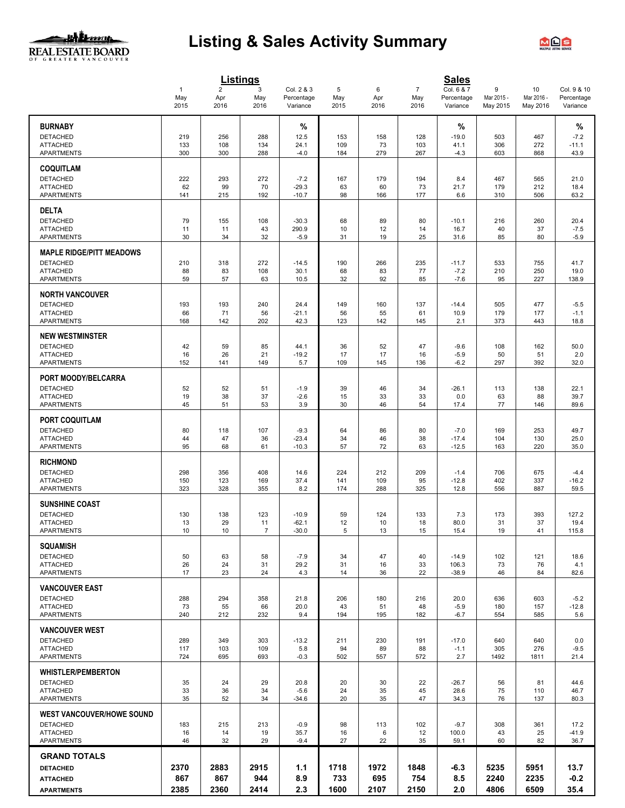# <u>ulbaan</u> REAL ESTATE BOARD

# **Listing & Sales Activity Summary**



|                                                                                             |                             |                               | <b>Listings</b>     |                                      |                     |                     |                               | <b>Sales</b>                         |                             |                              |                                       |
|---------------------------------------------------------------------------------------------|-----------------------------|-------------------------------|---------------------|--------------------------------------|---------------------|---------------------|-------------------------------|--------------------------------------|-----------------------------|------------------------------|---------------------------------------|
|                                                                                             | $\mathbf{1}$<br>May<br>2015 | $\overline{2}$<br>Apr<br>2016 | 3<br>May<br>2016    | Col. 2 & 3<br>Percentage<br>Variance | 5<br>May<br>2015    | 6<br>Apr<br>2016    | $\overline{7}$<br>May<br>2016 | Col. 6 & 7<br>Percentage<br>Variance | 9<br>Mar 2015 -<br>May 2015 | 10<br>Mar 2016 -<br>May 2016 | Col. 9 & 10<br>Percentage<br>Variance |
| <b>BURNABY</b><br><b>DETACHED</b><br><b>ATTACHED</b><br><b>APARTMENTS</b>                   | 219<br>133<br>300           | 256<br>108<br>300             | 288<br>134<br>288   | %<br>12.5<br>24.1<br>$-4.0$          | 153<br>109<br>184   | 158<br>73<br>279    | 128<br>103<br>267             | %<br>$-19.0$<br>41.1<br>$-4.3$       | 503<br>306<br>603           | 467<br>272<br>868            | %<br>$-7.2$<br>$-11.1$<br>43.9        |
| <b>COQUITLAM</b><br><b>DETACHED</b><br><b>ATTACHED</b><br><b>APARTMENTS</b>                 | 222<br>62<br>141            | 293<br>99<br>215              | 272<br>70<br>192    | $-7.2$<br>$-29.3$<br>$-10.7$         | 167<br>63<br>98     | 179<br>60<br>166    | 194<br>73<br>177              | 8.4<br>21.7<br>6.6                   | 467<br>179<br>310           | 565<br>212<br>506            | 21.0<br>18.4<br>63.2                  |
| <b>DELTA</b><br><b>DETACHED</b><br><b>ATTACHED</b><br><b>APARTMENTS</b>                     | 79<br>11<br>30              | 155<br>11<br>34               | 108<br>43<br>32     | $-30.3$<br>290.9<br>$-5.9$           | 68<br>10<br>31      | 89<br>12<br>19      | 80<br>14<br>25                | $-10.1$<br>16.7<br>31.6              | 216<br>40<br>85             | 260<br>37<br>80              | 20.4<br>$-7.5$<br>$-5.9$              |
| <b>MAPLE RIDGE/PITT MEADOWS</b><br><b>DETACHED</b><br><b>ATTACHED</b><br><b>APARTMENTS</b>  | 210<br>88<br>59             | 318<br>83<br>57               | 272<br>108<br>63    | $-14.5$<br>30.1<br>10.5              | 190<br>68<br>32     | 266<br>83<br>92     | 235<br>77<br>85               | $-11.7$<br>$-7.2$<br>$-7.6$          | 533<br>210<br>95            | 755<br>250<br>227            | 41.7<br>19.0<br>138.9                 |
| <b>NORTH VANCOUVER</b><br><b>DETACHED</b><br><b>ATTACHED</b><br><b>APARTMENTS</b>           | 193<br>66<br>168            | 193<br>71<br>142              | 240<br>56<br>202    | 24.4<br>$-21.1$<br>42.3              | 149<br>56<br>123    | 160<br>55<br>142    | 137<br>61<br>145              | $-14.4$<br>10.9<br>2.1               | 505<br>179<br>373           | 477<br>177<br>443            | $-5.5$<br>$-1.1$<br>18.8              |
| <b>NEW WESTMINSTER</b><br><b>DETACHED</b><br><b>ATTACHED</b><br>APARTMENTS                  | 42<br>16<br>152             | 59<br>26<br>141               | 85<br>21<br>149     | 44.1<br>$-19.2$<br>5.7               | 36<br>17<br>109     | 52<br>17<br>145     | 47<br>16<br>136               | $-9.6$<br>$-5.9$<br>$-6.2$           | 108<br>50<br>297            | 162<br>51<br>392             | 50.0<br>2.0<br>32.0                   |
| PORT MOODY/BELCARRA<br><b>DETACHED</b><br><b>ATTACHED</b><br><b>APARTMENTS</b>              | 52<br>19<br>45              | 52<br>38<br>51                | 51<br>37<br>53      | $-1.9$<br>$-2.6$<br>3.9              | 39<br>15<br>30      | 46<br>33<br>46      | 34<br>33<br>54                | $-26.1$<br>0.0<br>17.4               | 113<br>63<br>77             | 138<br>88<br>146             | 22.1<br>39.7<br>89.6                  |
| <b>PORT COQUITLAM</b><br><b>DETACHED</b><br><b>ATTACHED</b><br>APARTMENTS                   | 80<br>44<br>95              | 118<br>47<br>68               | 107<br>36<br>61     | $-9.3$<br>$-23.4$<br>$-10.3$         | 64<br>34<br>57      | 86<br>46<br>72      | 80<br>38<br>63                | $-7.0$<br>$-17.4$<br>$-12.5$         | 169<br>104<br>163           | 253<br>130<br>220            | 49.7<br>25.0<br>35.0                  |
| <b>RICHMOND</b><br><b>DETACHED</b><br><b>ATTACHED</b><br><b>APARTMENTS</b>                  | 298<br>150<br>323           | 356<br>123<br>328             | 408<br>169<br>355   | 14.6<br>37.4<br>8.2                  | 224<br>141<br>174   | 212<br>109<br>288   | 209<br>95<br>325              | $-1.4$<br>$-12.8$<br>12.8            | 706<br>402<br>556           | 675<br>337<br>887            | $-4.4$<br>$-16.2$<br>59.5             |
| <b>SUNSHINE COAST</b><br>DETACHED<br><b>ATTACHED</b><br><b>APARTMENTS</b>                   | 130<br>13<br>10             | 138<br>29<br>10               | 123<br>11<br>7      | $-10.9$<br>$-62.1$<br>$-30.0$        | 59<br>12<br>5       | 124<br>10<br>13     | 133<br>18<br>15               | 7.3<br>80.0<br>15.4                  | 173<br>31<br>19             | 393<br>37<br>41              | 127.2<br>19.4<br>115.8                |
| <b>SQUAMISH</b><br><b>DETACHED</b><br><b>ATTACHED</b><br><b>APARTMENTS</b>                  | 50<br>26<br>17              | 63<br>24<br>23                | 58<br>31<br>24      | $-7.9$<br>29.2<br>4.3                | 34<br>31<br>14      | 47<br>16<br>36      | 40<br>33<br>22                | $-14.9$<br>106.3<br>$-38.9$          | 102<br>73<br>46             | 121<br>76<br>84              | 18.6<br>4.1<br>82.6                   |
| <b>VANCOUVER EAST</b><br><b>DETACHED</b><br><b>ATTACHED</b><br><b>APARTMENTS</b>            | 288<br>73<br>240            | 294<br>55<br>212              | 358<br>66<br>232    | 21.8<br>20.0<br>9.4                  | 206<br>43<br>194    | 180<br>51<br>195    | 216<br>48<br>182              | 20.0<br>$-5.9$<br>$-6.7$             | 636<br>180<br>554           | 603<br>157<br>585            | $-5.2$<br>$-12.8$<br>5.6              |
| <b>VANCOUVER WEST</b><br><b>DETACHED</b><br><b>ATTACHED</b><br><b>APARTMENTS</b>            | 289<br>117<br>724           | 349<br>103<br>695             | 303<br>109<br>693   | $-13.2$<br>5.8<br>$-0.3$             | 211<br>94<br>502    | 230<br>89<br>557    | 191<br>88<br>572              | $-17.0$<br>$-1.1$<br>2.7             | 640<br>305<br>1492          | 640<br>276<br>1811           | 0.0<br>$-9.5$<br>21.4                 |
| <b>WHISTLER/PEMBERTON</b><br><b>DETACHED</b><br><b>ATTACHED</b><br><b>APARTMENTS</b>        | 35<br>33<br>35              | 24<br>36<br>52                | 29<br>34<br>34      | 20.8<br>$-5.6$<br>$-34.6$            | 20<br>24<br>20      | 30<br>35<br>35      | 22<br>45<br>47                | $-26.7$<br>28.6<br>34.3              | 56<br>75<br>76              | 81<br>110<br>137             | 44.6<br>46.7<br>80.3                  |
| <b>WEST VANCOUVER/HOWE SOUND</b><br><b>DETACHED</b><br><b>ATTACHED</b><br><b>APARTMENTS</b> | 183<br>16<br>46             | 215<br>14<br>32               | 213<br>19<br>29     | $-0.9$<br>35.7<br>$-9.4$             | 98<br>16<br>27      | 113<br>6<br>22      | 102<br>12<br>35               | $-9.7$<br>100.0<br>59.1              | 308<br>43<br>60             | 361<br>25<br>82              | 17.2<br>$-41.9$<br>36.7               |
| <b>GRAND TOTALS</b><br><b>DETACHED</b><br><b>ATTACHED</b><br><b>APARTMENTS</b>              | 2370<br>867<br>2385         | 2883<br>867<br>2360           | 2915<br>944<br>2414 | 1.1<br>8.9<br>2.3                    | 1718<br>733<br>1600 | 1972<br>695<br>2107 | 1848<br>754<br>2150           | $-6.3$<br>8.5<br>2.0                 | 5235<br>2240<br>4806        | 5951<br>2235<br>6509         | 13.7<br>$-0.2$<br>35.4                |